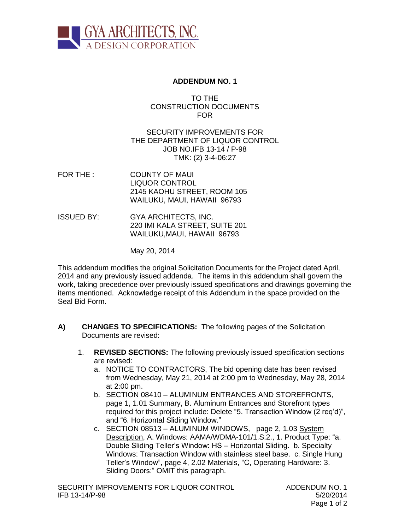

### **ADDENDUM NO. 1**

TO THE CONSTRUCTION DOCUMENTS FOR

SECURITY IMPROVEMENTS FOR THE DEPARTMENT OF LIQUOR CONTROL JOB NO.IFB 13-14 / P-98 TMK: (2) 3-4-06:27

- FOR THE : COUNTY OF MAUI LIQUOR CONTROL 2145 KAOHU STREET, ROOM 105 WAILUKU, MAUI, HAWAII 96793
- ISSUED BY: GYA ARCHITECTS, INC. 220 IMI KALA STREET, SUITE 201 WAILUKU,MAUI, HAWAII 96793

May 20, 2014

This addendum modifies the original Solicitation Documents for the Project dated April, 2014 and any previously issued addenda. The items in this addendum shall govern the work, taking precedence over previously issued specifications and drawings governing the items mentioned. Acknowledge receipt of this Addendum in the space provided on the Seal Bid Form.

- **A) CHANGES TO SPECIFICATIONS:** The following pages of the Solicitation Documents are revised:
	- 1. **REVISED SECTIONS:** The following previously issued specification sections are revised:
		- a. NOTICE TO CONTRACTORS, The bid opening date has been revised from Wednesday, May 21, 2014 at 2:00 pm to Wednesday, May 28, 2014 at 2:00 pm.
		- b. SECTION 08410 ALUMINUM ENTRANCES AND STOREFRONTS, page 1, 1.01 Summary, B. Aluminum Entrances and Storefront types required for this project include: Delete "5. Transaction Window (2 req'd)", and "6. Horizontal Sliding Window."
		- c. SECTION 08513 ALUMINUM WINDOWS, page 2, 1.03 System Description, A. Windows: AAMA/WDMA-101/1.S.2., 1. Product Type: "a. Double Sliding Teller's Window: HS – Horizontal Sliding. b. Specialty Windows: Transaction Window with stainless steel base. c. Single Hung Teller's Window", page 4, 2.02 Materials, "C, Operating Hardware: 3. Sliding Doors:" OMIT this paragraph.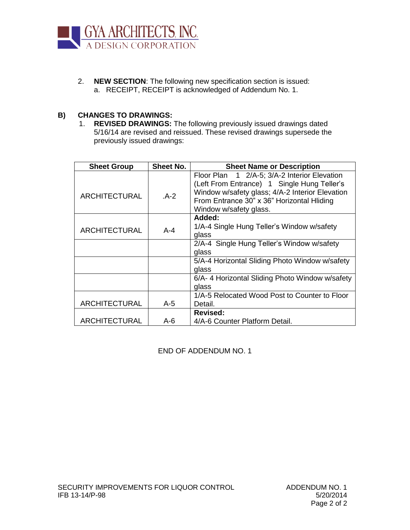

2. **NEW SECTION**: The following new specification section is issued: a. RECEIPT, RECEIPT is acknowledged of Addendum No. 1.

### **B) CHANGES TO DRAWINGS:**

1. **REVISED DRAWINGS:** The following previously issued drawings dated 5/16/14 are revised and reissued. These revised drawings supersede the previously issued drawings:

| <b>Sheet Group</b>   | <b>Sheet No.</b> | <b>Sheet Name or Description</b>                                                               |
|----------------------|------------------|------------------------------------------------------------------------------------------------|
|                      |                  | Floor Plan 1 2/A-5; 3/A-2 Interior Elevation                                                   |
| <b>ARCHITECTURAL</b> | $A-2$            | (Left From Entrance) 1 Single Hung Teller's<br>Window w/safety glass; 4/A-2 Interior Elevation |
|                      |                  | From Entrance 30" x 36" Horizontal Hliding                                                     |
|                      |                  | Window w/safety glass.                                                                         |
|                      |                  | Added:                                                                                         |
| <b>ARCHITECTURAL</b> | $A - 4$          | 1/A-4 Single Hung Teller's Window w/safety                                                     |
|                      |                  | glass                                                                                          |
|                      |                  | 2/A-4 Single Hung Teller's Window w/safety                                                     |
|                      |                  | glass                                                                                          |
|                      |                  | 5/A-4 Horizontal Sliding Photo Window w/safety                                                 |
|                      |                  | glass                                                                                          |
|                      |                  | 6/A-4 Horizontal Sliding Photo Window w/safety                                                 |
|                      |                  | glass                                                                                          |
|                      |                  | 1/A-5 Relocated Wood Post to Counter to Floor                                                  |
| <b>ARCHITECTURAL</b> | $A-5$            | Detail.                                                                                        |
|                      |                  | <b>Revised:</b>                                                                                |
| ARCHITECTURAL        | $A-6$            | 4/A-6 Counter Platform Detail.                                                                 |

END OF ADDENDUM NO. 1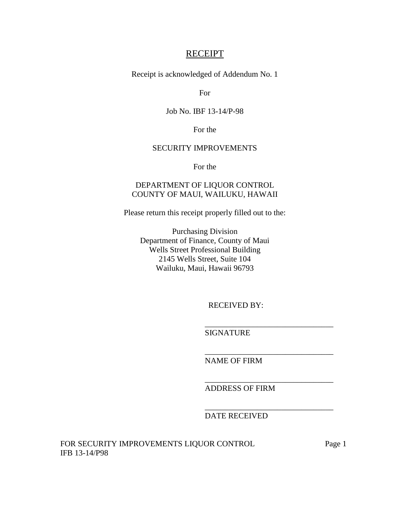## **RECEIPT**

Receipt is acknowledged of Addendum No. 1

For

# Job No. IBF 13-14/P-98

For the

### SECURITY IMPROVEMENTS

For the

# DEPARTMENT OF LIQUOR CONTROL COUNTY OF MAUI, WAILUKU, HAWAII

Please return this receipt properly filled out to the:

Purchasing Division Department of Finance, County of Maui Wells Street Professional Building 2145 Wells Street, Suite 104 Wailuku, Maui, Hawaii 96793

RECEIVED BY:

\_\_\_\_\_\_\_\_\_\_\_\_\_\_\_\_\_\_\_\_\_\_\_\_\_\_\_\_\_\_\_\_

\_\_\_\_\_\_\_\_\_\_\_\_\_\_\_\_\_\_\_\_\_\_\_\_\_\_\_\_\_\_\_\_

\_\_\_\_\_\_\_\_\_\_\_\_\_\_\_\_\_\_\_\_\_\_\_\_\_\_\_\_\_\_\_\_

\_\_\_\_\_\_\_\_\_\_\_\_\_\_\_\_\_\_\_\_\_\_\_\_\_\_\_\_\_\_\_\_

SIGNATURE

NAME OF FIRM

ADDRESS OF FIRM

DATE RECEIVED

FOR SECURITY IMPROVEMENTS LIQUOR CONTROL Page 1 IFB 13-14/P98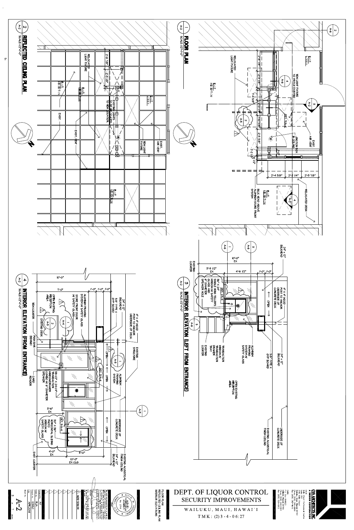

 $\sim$ 

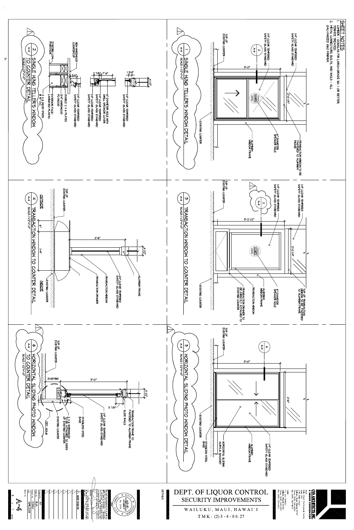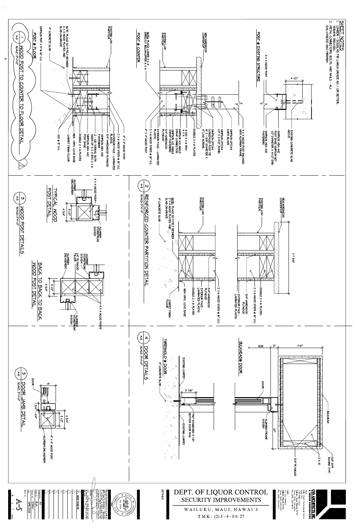

 $\ddot{\omega}$ 

 $\langle \cdot \rangle$ 





 $I'-O''$